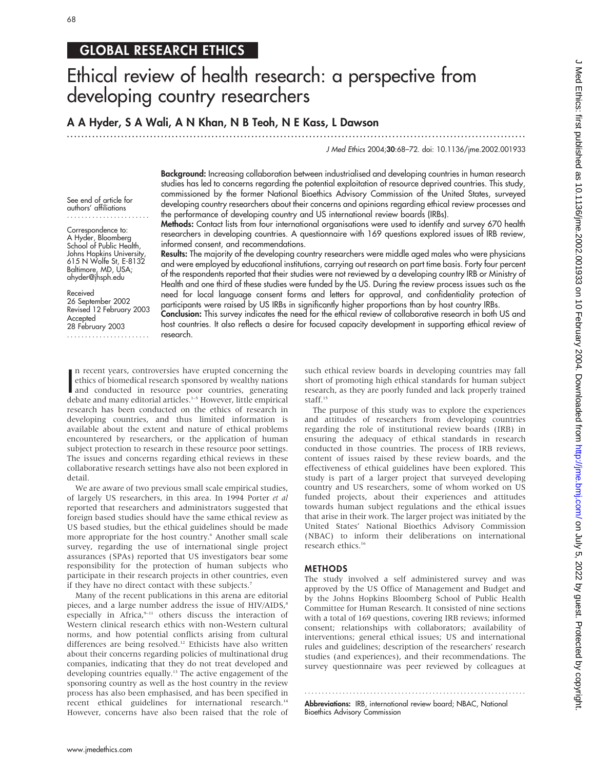## GLOBAL RESEARCH ETHICS

# Ethical review of health research: a perspective from developing country researchers

## A A Hyder, S A Wali, A N Khan, N B Teoh, N E Kass, L Dawson

.............................................................................................................................. .

J Med Ethics 2004;30:68–72. doi: 10.1136/jme.2002.001933

Background: Increasing collaboration between industrialised and developing countries in human research studies has led to concerns regarding the potential exploitation of resource deprived countries. This study, commissioned by the former National Bioethics Advisory Commission of the United States, surveyed developing country researchers about their concerns and opinions regarding ethical review processes and the performance of developing country and US international review boards (IRBs).

Methods: Contact lists from four international organisations were used to identify and survey 670 health researchers in developing countries. A questionnaire with 169 questions explored issues of IRB review, informed consent, and recommendations.

Results: The majority of the developing country researchers were middle aged males who were physicians and were employed by educational institutions, carrying out research on part time basis. Forty four percent of the respondents reported that their studies were not reviewed by a developing country IRB or Ministry of Health and one third of these studies were funded by the US. During the review process issues such as the need for local language consent forms and letters for approval, and confidentiality protection of participants were raised by US IRBs in significantly higher proportions than by host country IRBs.

Conclusion: This survey indicates the need for the ethical review of collaborative research in both US and host countries. It also reflects a desire for focused capacity development in supporting ethical review of research.

In recent years, controversies nave erupted concerning the<br>
ethics of biomedical research sponsored by wealthy nations<br>
and conducted in resource poor countries, generating<br>
debate and many editorial articles.<sup>1–5</sup> However n recent years, controversies have erupted concerning the ethics of biomedical research sponsored by wealthy nations and conducted in resource poor countries, generating research has been conducted on the ethics of research in developing countries, and thus limited information is available about the extent and nature of ethical problems encountered by researchers, or the application of human subject protection to research in these resource poor settings. The issues and concerns regarding ethical reviews in these collaborative research settings have also not been explored in detail.

We are aware of two previous small scale empirical studies, of largely US researchers, in this area. In 1994 Porter et al reported that researchers and administrators suggested that foreign based studies should have the same ethical review as US based studies, but the ethical guidelines should be made more appropriate for the host country.<sup>6</sup> Another small scale survey, regarding the use of international single project assurances (SPAs) reported that US investigators bear some responsibility for the protection of human subjects who participate in their research projects in other countries, even if they have no direct contact with these subjects.<sup>7</sup>

Many of the recent publications in this arena are editorial pieces, and a large number address the issue of HIV/AIDS,<sup>8</sup> especially in Africa, $9-11$  others discuss the interaction of Western clinical research ethics with non-Western cultural norms, and how potential conflicts arising from cultural differences are being resolved.<sup>12</sup> Ethicists have also written about their concerns regarding policies of multinational drug companies, indicating that they do not treat developed and developing countries equally.<sup>13</sup> The active engagement of the sponsoring country as well as the host country in the review process has also been emphasised, and has been specified in recent ethical guidelines for international research.<sup>14</sup> However, concerns have also been raised that the role of such ethical review boards in developing countries may fall short of promoting high ethical standards for human subject research, as they are poorly funded and lack properly trained staff.<sup>15</sup>

The purpose of this study was to explore the experiences and attitudes of researchers from developing countries regarding the role of institutional review boards (IRB) in ensuring the adequacy of ethical standards in research conducted in those countries. The process of IRB reviews, content of issues raised by these review boards, and the effectiveness of ethical guidelines have been explored. This study is part of a larger project that surveyed developing country and US researchers, some of whom worked on US funded projects, about their experiences and attitudes towards human subject regulations and the ethical issues that arise in their work. The larger project was initiated by the United States' National Bioethics Advisory Commission (NBAC) to inform their deliberations on international research ethics.<sup>16</sup>

## METHODS

The study involved a self administered survey and was approved by the US Office of Management and Budget and by the Johns Hopkins Bloomberg School of Public Health Committee for Human Research. It consisted of nine sections with a total of 169 questions, covering IRB reviews; informed consent; relationships with collaborators; availability of interventions; general ethical issues; US and international rules and guidelines; description of the researchers' research studies (and experiences), and their recommendations. The survey questionnaire was peer reviewed by colleagues at

Abbreviations: IRB, international review board; NBAC, National Bioethics Advisory Commission

............................................................... .

See end of article for authors' affiliations .......................

Correspondence to: A Hyder, Bloomberg School of Public Health, Johns Hopkins University 615 N Wolfe St, E-8132 Baltimore, MD, USA; ahyder@jhsph.edu

Received 26 September 2002 Revised 12 February 2003 **Accepted** 28 February 2003

.......................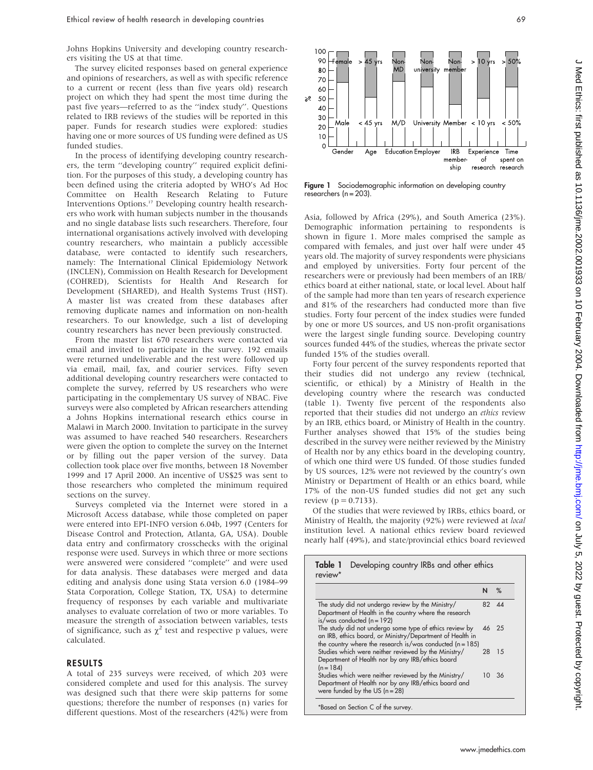Johns Hopkins University and developing country researchers visiting the US at that time.

The survey elicited responses based on general experience and opinions of researchers, as well as with specific reference to a current or recent (less than five years old) research project on which they had spent the most time during the past five years—referred to as the ''index study''. Questions related to IRB reviews of the studies will be reported in this paper. Funds for research studies were explored: studies having one or more sources of US funding were defined as US funded studies.

In the process of identifying developing country researchers, the term ''developing country'' required explicit definition. For the purposes of this study, a developing country has been defined using the criteria adopted by WHO's Ad Hoc Committee on Health Research Relating to Future Interventions Options.17 Developing country health researchers who work with human subjects number in the thousands and no single database lists such researchers. Therefore, four international organisations actively involved with developing country researchers, who maintain a publicly accessible database, were contacted to identify such researchers, namely: The International Clinical Epidemiology Network (INCLEN), Commission on Health Research for Development (COHRED), Scientists for Health And Research for Development (SHARED), and Health Systems Trust (HST). A master list was created from these databases after removing duplicate names and information on non-health researchers. To our knowledge, such a list of developing country researchers has never been previously constructed.

From the master list 670 researchers were contacted via email and invited to participate in the survey. 192 emails were returned undeliverable and the rest were followed up via email, mail, fax, and courier services. Fifty seven additional developing country researchers were contacted to complete the survey, referred by US researchers who were participating in the complementary US survey of NBAC. Five surveys were also completed by African researchers attending a Johns Hopkins international research ethics course in Malawi in March 2000. Invitation to participate in the survey was assumed to have reached 540 researchers. Researchers were given the option to complete the survey on the Internet or by filling out the paper version of the survey. Data collection took place over five months, between 18 November 1999 and 17 April 2000. An incentive of US\$25 was sent to those researchers who completed the minimum required sections on the survey.

Surveys completed via the Internet were stored in a Microsoft Access database, while those completed on paper were entered into EPI-INFO version 6.04b, 1997 (Centers for Disease Control and Protection, Atlanta, GA, USA). Double data entry and confirmatory crosschecks with the original response were used. Surveys in which three or more sections were answered were considered ''complete'' and were used for data analysis. These databases were merged and data editing and analysis done using Stata version 6.0 (1984–99 Stata Corporation, College Station, TX, USA) to determine frequency of responses by each variable and multivariate analyses to evaluate correlation of two or more variables. To measure the strength of association between variables, tests of significance, such as  $\chi^2$  test and respective p values, were calculated.

### RESULTS

A total of 235 surveys were received, of which 203 were considered complete and used for this analysis. The survey was designed such that there were skip patterns for some questions; therefore the number of responses (n) varies for different questions. Most of the researchers (42%) were from



Figure 1 Sociodemographic information on developing country researchers (n = 203).

Asia, followed by Africa (29%), and South America (23%). Demographic information pertaining to respondents is shown in figure 1. More males comprised the sample as compared with females, and just over half were under 45 years old. The majority of survey respondents were physicians and employed by universities. Forty four percent of the researchers were or previously had been members of an IRB/ ethics board at either national, state, or local level. About half of the sample had more than ten years of research experience and 81% of the researchers had conducted more than five studies. Forty four percent of the index studies were funded by one or more US sources, and US non-profit organisations were the largest single funding source. Developing country sources funded 44% of the studies, whereas the private sector funded 15% of the studies overall.

Forty four percent of the survey respondents reported that their studies did not undergo any review (technical, scientific, or ethical) by a Ministry of Health in the developing country where the research was conducted (table 1). Twenty five percent of the respondents also reported that their studies did not undergo an ethics review by an IRB, ethics board, or Ministry of Health in the country. Further analyses showed that 15% of the studies being described in the survey were neither reviewed by the Ministry of Health nor by any ethics board in the developing country, of which one third were US funded. Of those studies funded by US sources, 12% were not reviewed by the country's own Ministry or Department of Health or an ethics board, while 17% of the non-US funded studies did not get any such review ( $p = 0.7133$ ).

Of the studies that were reviewed by IRBs, ethics board, or Ministry of Health, the majority (92%) were reviewed at local institution level. A national ethics review board reviewed nearly half (49%), and state/provincial ethics board reviewed

|                                                                                                                                                                                       | N     | $\%$  |
|---------------------------------------------------------------------------------------------------------------------------------------------------------------------------------------|-------|-------|
| The study did not undergo review by the Ministry/<br>Department of Health in the country where the research<br>is/was conducted $(n = 192)$                                           |       | 82 44 |
| The study did not undergo some type of ethics review by<br>an IRB, ethics board, or Ministry/Department of Health in<br>the country where the research is/was conducted ( $n = 185$ ) | 46 25 |       |
| Studies which were neither reviewed by the Ministry/<br>Department of Health nor by any IRB/ethics board<br>$(n = 184)$                                                               |       | 28 15 |
| Studies which were neither reviewed by the Ministry/<br>Department of Health nor by any IRB/ethics board and<br>were funded by the US $(n = 28)$                                      |       | 10 36 |

www.jmedethics.com

<sup>\*</sup>Based on Section C of the survey.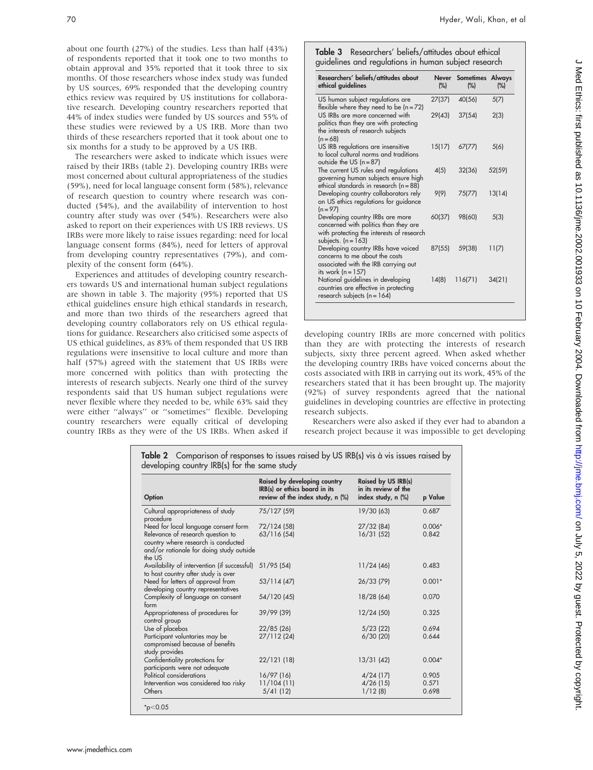about one fourth (27%) of the studies. Less than half (43%) of respondents reported that it took one to two months to obtain approval and 35% reported that it took three to six months. Of those researchers whose index study was funded by US sources, 69% responded that the developing country ethics review was required by US institutions for collaborative research. Developing country researchers reported that 44% of index studies were funded by US sources and 55% of these studies were reviewed by a US IRB. More than two thirds of these researchers reported that it took about one to six months for a study to be approved by a US IRB.

The researchers were asked to indicate which issues were raised by their IRBs (table 2). Developing country IRBs were most concerned about cultural appropriateness of the studies (59%), need for local language consent form (58%), relevance of research question to country where research was conducted (54%), and the availability of intervention to host country after study was over (54%). Researchers were also asked to report on their experiences with US IRB reviews. US IRBs were more likely to raise issues regarding: need for local language consent forms (84%), need for letters of approval from developing country representatives (79%), and complexity of the consent form (64%).

Experiences and attitudes of developing country researchers towards US and international human subject regulations are shown in table 3. The majority (95%) reported that US ethical guidelines ensure high ethical standards in research, and more than two thirds of the researchers agreed that developing country collaborators rely on US ethical regulations for guidance. Researchers also criticised some aspects of US ethical guidelines, as 83% of them responded that US IRB regulations were insensitive to local culture and more than half (57%) agreed with the statement that US IRBs were more concerned with politics than with protecting the interests of research subjects. Nearly one third of the survey respondents said that US human subject regulations were never flexible where they needed to be, while 63% said they were either ''always'' or ''sometimes'' flexible. Developing country researchers were equally critical of developing country IRBs as they were of the US IRBs. When asked if

Table 3 Researchers' beliefs/attitudes about ethical guidelines and regulations in human subject research

| Researchers' beliefs/attitudes about<br>ethical quidelines                                                                                      | $(\%)$ | <b>Never</b> Sometimes<br>$(\%)$ | Always<br>$(\%)$ |
|-------------------------------------------------------------------------------------------------------------------------------------------------|--------|----------------------------------|------------------|
| US human subject regulations are<br>flexible where they need to be $(n=72)$                                                                     | 27(37) | 40(56)                           | 5(7)             |
| US IRBs are more concerned with<br>politics than they are with protecting<br>the interests of research subjects<br>$(n = 68)$                   | 29(43) | 37(54)                           | 2(3)             |
| US IRB regulations are insensitive<br>to local cultural norms and traditions<br>outside the US $(n=87)$                                         | 15(17) | 67(77)                           | 5(6)             |
| The current US rules and regulations<br>governing human subjects ensure high<br>ethical standards in research (n=88)                            | 4(5)   | 32(36)                           | 52(59)           |
| Developing country collaborators rely<br>on US ethics regulations for guidance<br>$(n = 97)$                                                    | 9(9)   | 75(77)                           | 13(14)           |
| Developing country IRBs are more<br>concerned with politics than they are<br>with protecting the interests of research<br>subjects. $(n = 163)$ | 60(37) | 98(60)                           | 5(3)             |
| Developing country IRBs have voiced<br>concerns to me about the costs<br>associated with the IRB carrying out<br>its work $(n = 157)$           | 87(55) | 59(38)                           | 11(7)            |
| National guidelines in developing<br>countries are effective in protecting<br>research subjects $(n = 164)$                                     | 14(8)  | 116(71)                          | 34(21)           |

developing country IRBs are more concerned with politics than they are with protecting the interests of research subjects, sixty three percent agreed. When asked whether the developing country IRBs have voiced concerns about the costs associated with IRB in carrying out its work, 45% of the researchers stated that it has been brought up. The majority (92%) of survey respondents agreed that the national guidelines in developing countries are effective in protecting research subjects.

Researchers were also asked if they ever had to abandon a research project because it was impossible to get developing

| Option                                                                                                                         | Raised by developing country<br>IRB(s) or ethics board in its<br>review of the index study, n (%) | Raised by US IRB(s)<br>in its review of the<br>index study, $n$ $%$ | p Value  |
|--------------------------------------------------------------------------------------------------------------------------------|---------------------------------------------------------------------------------------------------|---------------------------------------------------------------------|----------|
| Cultural appropriateness of study<br>procedure                                                                                 | 75/127 (59)                                                                                       | 19/30(63)                                                           | 0.687    |
| Need for local language consent form                                                                                           | 72/124 (58)                                                                                       | 27/32(84)                                                           | $0.006*$ |
| Relevance of research question to<br>country where research is conducted<br>and/or rationale for doing study outside<br>the US | 63/116 (54)                                                                                       | 16/31(52)                                                           | 0.842    |
| Availability of intervention (if successful)<br>to host country after study is over                                            | 51/95 (54)                                                                                        | 11/24(46)                                                           | 0.483    |
| Need for letters of approval from<br>developing country representatives                                                        | 53/114(47)                                                                                        | $26/33$ (79)                                                        | $0.001*$ |
| Complexity of language on consent<br>form                                                                                      | 54/120 (45)                                                                                       | 18/28(64)                                                           | 0.070    |
| Appropriateness of procedures for<br>control group                                                                             | 39/99 (39)                                                                                        | 12/24(50)                                                           | 0.325    |
| Use of placebos                                                                                                                | 22/85(26)                                                                                         | 5/23(22)                                                            | 0.694    |
| Participant voluntaries may be<br>compromised because of benefits<br>study provides                                            | 27/112(24)                                                                                        | 6/30(20)                                                            | 0.644    |
| Confidentiality protections for<br>participants were not adequate                                                              | 22/121(18)                                                                                        | 13/31(42)                                                           | $0.004*$ |
| Political considerations                                                                                                       | 16/97(16)                                                                                         | 4/24(17)                                                            | 0.905    |
| Intervention was considered too risky                                                                                          | 11/104(11)                                                                                        | $4/26$ (15)                                                         | 0.571    |
| Others                                                                                                                         | 5/41(12)                                                                                          | 1/12(8)                                                             | 0.698    |

Table 2 Comparison of responses to issues raised by US IRB(s) vis à vis issues raised by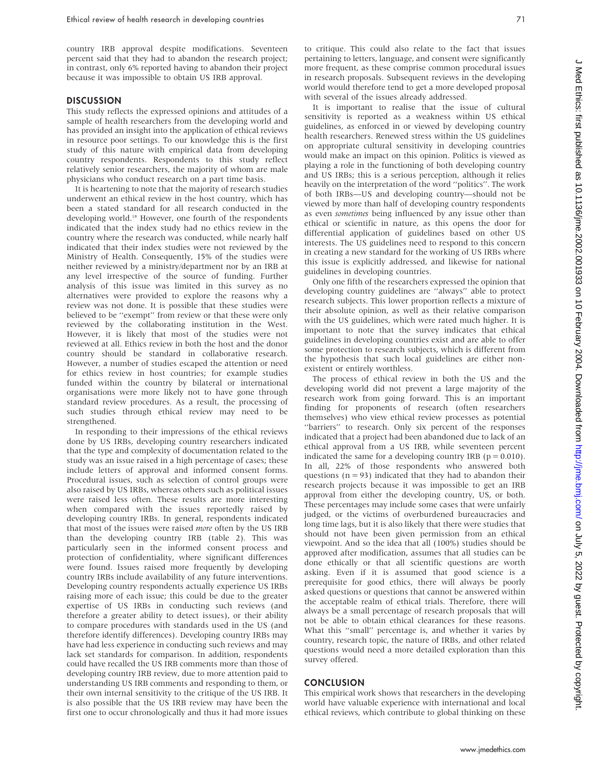country IRB approval despite modifications. Seventeen percent said that they had to abandon the research project; in contrast, only 6% reported having to abandon their project because it was impossible to obtain US IRB approval.

#### **DISCUSSION**

This study reflects the expressed opinions and attitudes of a sample of health researchers from the developing world and has provided an insight into the application of ethical reviews in resource poor settings. To our knowledge this is the first study of this nature with empirical data from developing country respondents. Respondents to this study reflect relatively senior researchers, the majority of whom are male physicians who conduct research on a part time basis.

It is heartening to note that the majority of research studies underwent an ethical review in the host country, which has been a stated standard for all research conducted in the developing world.18 However, one fourth of the respondents indicated that the index study had no ethics review in the country where the research was conducted, while nearly half indicated that their index studies were not reviewed by the Ministry of Health. Consequently, 15% of the studies were neither reviewed by a ministry/department nor by an IRB at any level irrespective of the source of funding. Further analysis of this issue was limited in this survey as no alternatives were provided to explore the reasons why a review was not done. It is possible that these studies were believed to be ''exempt'' from review or that these were only reviewed by the collaborating institution in the West. However, it is likely that most of the studies were not reviewed at all. Ethics review in both the host and the donor country should be standard in collaborative research. However, a number of studies escaped the attention or need for ethics review in host countries; for example studies funded within the country by bilateral or international organisations were more likely not to have gone through standard review procedures. As a result, the processing of such studies through ethical review may need to be strengthened.

In responding to their impressions of the ethical reviews done by US IRBs, developing country researchers indicated that the type and complexity of documentation related to the study was an issue raised in a high percentage of cases; these include letters of approval and informed consent forms. Procedural issues, such as selection of control groups were also raised by US IRBs, whereas others such as political issues were raised less often. These results are more interesting when compared with the issues reportedly raised by developing country IRBs. In general, respondents indicated that most of the issues were raised more often by the US IRB than the developing country IRB (table 2). This was particularly seen in the informed consent process and protection of confidentiality, where significant differences were found. Issues raised more frequently by developing country IRBs include availability of any future interventions. Developing country respondents actually experience US IRBs raising more of each issue; this could be due to the greater expertise of US IRBs in conducting such reviews (and therefore a greater ability to detect issues), or their ability to compare procedures with standards used in the US (and therefore identify differences). Developing country IRBs may have had less experience in conducting such reviews and may lack set standards for comparison. In addition, respondents could have recalled the US IRB comments more than those of developing country IRB review, due to more attention paid to understanding US IRB comments and responding to them, or their own internal sensitivity to the critique of the US IRB. It is also possible that the US IRB review may have been the first one to occur chronologically and thus it had more issues to critique. This could also relate to the fact that issues pertaining to letters, language, and consent were significantly more frequent, as these comprise common procedural issues in research proposals. Subsequent reviews in the developing world would therefore tend to get a more developed proposal with several of the issues already addressed.

It is important to realise that the issue of cultural sensitivity is reported as a weakness within US ethical guidelines, as enforced in or viewed by developing country health researchers. Renewed stress within the US guidelines on appropriate cultural sensitivity in developing countries would make an impact on this opinion. Politics is viewed as playing a role in the functioning of both developing country and US IRBs; this is a serious perception, although it relies heavily on the interpretation of the word ''politics''. The work of both IRBs—US and developing country—should not be viewed by more than half of developing country respondents as even sometimes being influenced by any issue other than ethical or scientific in nature, as this opens the door for differential application of guidelines based on other US interests. The US guidelines need to respond to this concern in creating a new standard for the working of US IRBs where this issue is explicitly addressed, and likewise for national guidelines in developing countries.

Only one fifth of the researchers expressed the opinion that developing country guidelines are ''always'' able to protect research subjects. This lower proportion reflects a mixture of their absolute opinion, as well as their relative comparison with the US guidelines, which were rated much higher. It is important to note that the survey indicates that ethical guidelines in developing countries exist and are able to offer some protection to research subjects, which is different from the hypothesis that such local guidelines are either nonexistent or entirely worthless.

The process of ethical review in both the US and the developing world did not prevent a large majority of the research work from going forward. This is an important finding for proponents of research (often researchers themselves) who view ethical review processes as potential "barriers" to research. Only six percent of the responses indicated that a project had been abandoned due to lack of an ethical approval from a US IRB, while seventeen percent indicated the same for a developing country IRB ( $p = 0.010$ ). In all, 22% of those respondents who answered both questions ( $n = 93$ ) indicated that they had to abandon their research projects because it was impossible to get an IRB approval from either the developing country, US, or both. These percentages may include some cases that were unfairly judged, or the victims of overburdened bureaucracies and long time lags, but it is also likely that there were studies that should not have been given permission from an ethical viewpoint. And so the idea that all (100%) studies should be approved after modification, assumes that all studies can be done ethically or that all scientific questions are worth asking. Even if it is assumed that good science is a prerequisite for good ethics, there will always be poorly asked questions or questions that cannot be answered within the acceptable realm of ethical trials. Therefore, there will always be a small percentage of research proposals that will not be able to obtain ethical clearances for these reasons. What this ''small'' percentage is, and whether it varies by country, research topic, the nature of IRBs, and other related questions would need a more detailed exploration than this survey offered.

#### **CONCLUSION**

This empirical work shows that researchers in the developing world have valuable experience with international and local ethical reviews, which contribute to global thinking on these